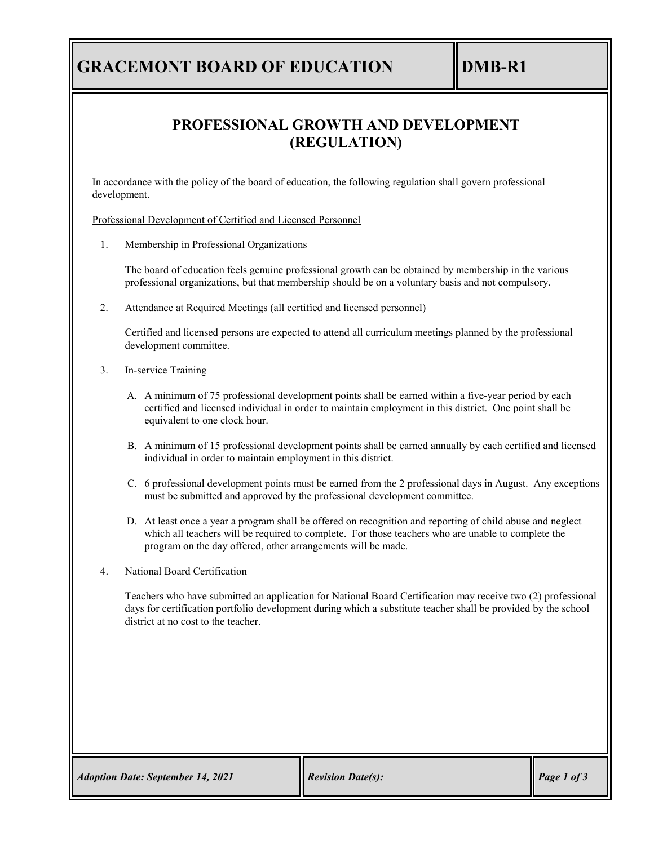# **GRACEMONT BOARD OF EDUCATION DMB-R1**

### **PROFESSIONAL GROWTH AND DEVELOPMENT (REGULATION)**

In accordance with the policy of the board of education, the following regulation shall govern professional development.

Professional Development of Certified and Licensed Personnel

1. Membership in Professional Organizations

The board of education feels genuine professional growth can be obtained by membership in the various professional organizations, but that membership should be on a voluntary basis and not compulsory.

2. Attendance at Required Meetings (all certified and licensed personnel)

Certified and licensed persons are expected to attend all curriculum meetings planned by the professional development committee.

- 3. In-service Training
	- A. A minimum of 75 professional development points shall be earned within a five-year period by each certified and licensed individual in order to maintain employment in this district. One point shall be equivalent to one clock hour.
	- B. A minimum of 15 professional development points shall be earned annually by each certified and licensed individual in order to maintain employment in this district.
	- C. 6 professional development points must be earned from the 2 professional days in August. Any exceptions must be submitted and approved by the professional development committee.
	- D. At least once a year a program shall be offered on recognition and reporting of child abuse and neglect which all teachers will be required to complete. For those teachers who are unable to complete the program on the day offered, other arrangements will be made.
- 4. National Board Certification

Teachers who have submitted an application for National Board Certification may receive two (2) professional days for certification portfolio development during which a substitute teacher shall be provided by the school district at no cost to the teacher.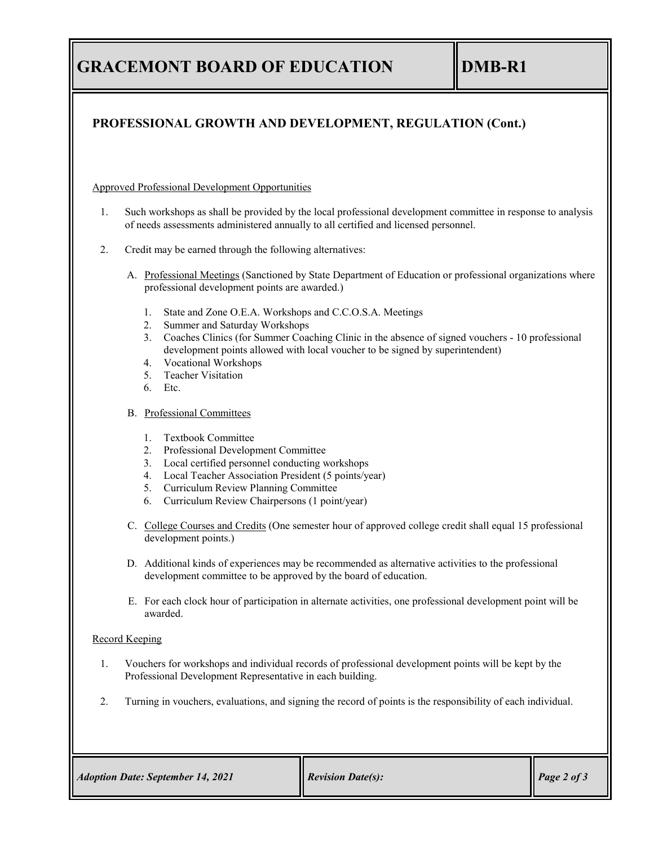# **GRACEMONT BOARD OF EDUCATION DMB-R1**

### **PROFESSIONAL GROWTH AND DEVELOPMENT, REGULATION (Cont.)**

Approved Professional Development Opportunities

- 1. Such workshops as shall be provided by the local professional development committee in response to analysis of needs assessments administered annually to all certified and licensed personnel.
- 2. Credit may be earned through the following alternatives:
	- A. Professional Meetings (Sanctioned by State Department of Education or professional organizations where professional development points are awarded.)
		- 1. State and Zone O.E.A. Workshops and C.C.O.S.A. Meetings
		- 2. Summer and Saturday Workshops
		- 3. Coaches Clinics (for Summer Coaching Clinic in the absence of signed vouchers 10 professional development points allowed with local voucher to be signed by superintendent)
		- 4. Vocational Workshops
		- 5. Teacher Visitation
		- 6. Etc.
	- B. Professional Committees
		- 1. Textbook Committee
		- 2. Professional Development Committee
		- 3. Local certified personnel conducting workshops
		- 4. Local Teacher Association President (5 points/year)
		- 5. Curriculum Review Planning Committee
		- 6. Curriculum Review Chairpersons (1 point/year)
	- C. College Courses and Credits (One semester hour of approved college credit shall equal 15 professional development points.)
	- D. Additional kinds of experiences may be recommended as alternative activities to the professional development committee to be approved by the board of education.
	- E. For each clock hour of participation in alternate activities, one professional development point will be awarded.

### Record Keeping

- 1. Vouchers for workshops and individual records of professional development points will be kept by the Professional Development Representative in each building.
- 2. Turning in vouchers, evaluations, and signing the record of points is the responsibility of each individual.